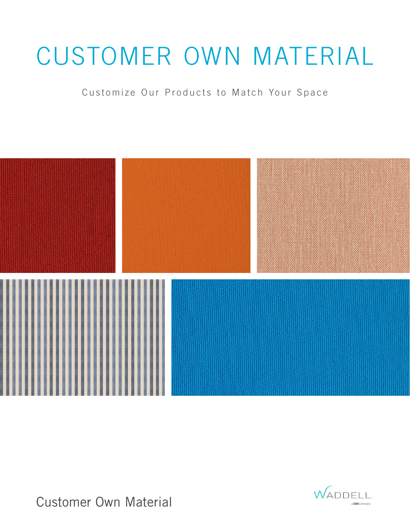## CUSTOMER OWN MATERIAL

Customize Our Products to Match Your Space



Customer Own Material